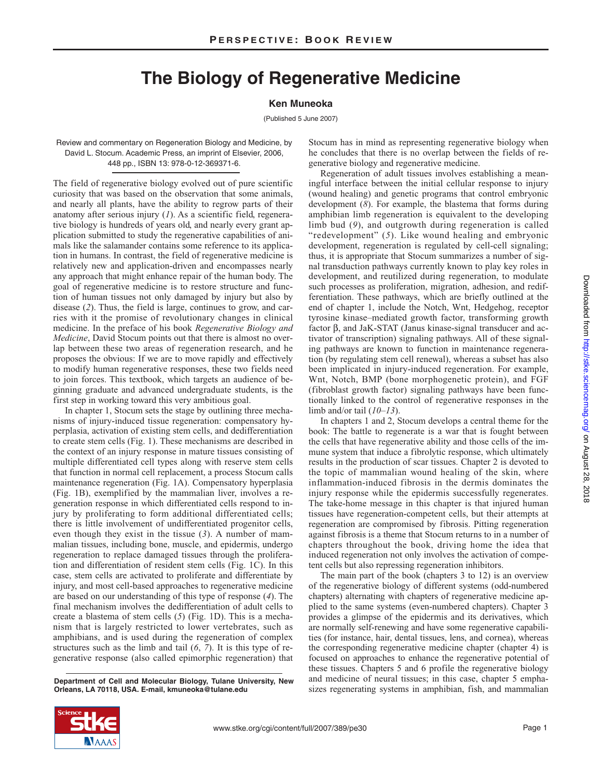# **The Biology of Regenerative Medicine**

### **Ken Muneoka**

(Published 5 June 2007)

Review and commentary on Regeneration Biology and Medicine, by David L. Stocum. Academic Press, an imprint of Elsevier, 2006, 448 pp., ISBN 13: 978-0-12-369371-6.

The field of regenerative biology evolved out of pure scientific curiosity that was based on the observation that some animals, and nearly all plants, have the ability to regrow parts of their anatomy after serious injury (*1*). As a scientific field, regenerative biology is hundreds of years old, and nearly every grant application submitted to study the regenerative capabilities of animals like the salamander contains some reference to its application in humans. In contrast, the field of regenerative medicine is relatively new and application-driven and encompasses nearly any approach that might enhance repair of the human body. The goal of regenerative medicine is to restore structure and function of human tissues not only damaged by injury but also by disease (*2*). Thus, the field is large, continues to grow, and carries with it the promise of revolutionary changes in clinical medicine. In the preface of his book *Regenerative Biology and Medicine*, David Stocum points out that there is almost no overlap between these two areas of regeneration research, and he proposes the obvious: If we are to move rapidly and effectively to modify human regenerative responses, these two fields need to join forces. This textbook, which targets an audience of beginning graduate and advanced undergraduate students, is the first step in working toward this very ambitious goal.

In chapter 1, Stocum sets the stage by outlining three mechanisms of injury-induced tissue regeneration: compensatory hyperplasia, activation of existing stem cells, and dedifferentiation to create stem cells (Fig. 1). These mechanisms are described in the context of an injury response in mature tissues consisting of multiple differentiated cell types along with reserve stem cells that function in normal cell replacement, a process Stocum calls maintenance regeneration (Fig. 1A). Compensatory hyperplasia (Fig. 1B), exemplified by the mammalian liver, involves a regeneration response in which differentiated cells respond to injury by proliferating to form additional differentiated cells; there is little involvement of undifferentiated progenitor cells, even though they exist in the tissue (*3*). A number of mammalian tissues, including bone, muscle, and epidermis, undergo regeneration to replace damaged tissues through the proliferation and differentiation of resident stem cells (Fig. 1C). In this case, stem cells are activated to proliferate and differentiate by injury, and most cell-based approaches to regenerative medicine are based on our understanding of this type of response (*4*). The final mechanism involves the dedifferentiation of adult cells to create a blastema of stem cells (*5*) (Fig. 1D). This is a mechanism that is largely restricted to lower vertebrates, such as amphibians, and is used during the regeneration of complex structures such as the limb and tail (*6*, *7*). It is this type of regenerative response (also called epimorphic regeneration) that

**Department of Cell and Molecular Biology, Tulane University, New Orleans, LA 70118, USA. E-mail, kmuneoka@tulane.edu**

Stocum has in mind as representing regenerative biology when he concludes that there is no overlap between the fields of regenerative biology and regenerative medicine.

Regeneration of adult tissues involves establishing a meaningful interface between the initial cellular response to injury (wound healing) and genetic programs that control embryonic development (*8*). For example, the blastema that forms during amphibian limb regeneration is equivalent to the developing limb bud (*9*), and outgrowth during regeneration is called "redevelopment" (*5*). Like wound healing and embryonic development, regeneration is regulated by cell-cell signaling; thus, it is appropriate that Stocum summarizes a number of signal transduction pathways currently known to play key roles in development, and reutilized during regeneration, to modulate such processes as proliferation, migration, adhesion, and redifferentiation. These pathways, which are briefly outlined at the end of chapter 1, include the Notch, Wnt, Hedgehog, receptor tyrosine kinase–mediated growth factor, transforming growth factor β, and JaK-STAT (Janus kinase-signal transducer and activator of transcription) signaling pathways. All of these signaling pathways are known to function in maintenance regeneration (by regulating stem cell renewal), whereas a subset has also been implicated in injury-induced regeneration. For example, Wnt, Notch, BMP (bone morphogenetic protein), and FGF (fibroblast growth factor) signaling pathways have been functionally linked to the control of regenerative responses in the limb and/or tail (*10*–*13*).

In chapters 1 and 2, Stocum develops a central theme for the book: The battle to regenerate is a war that is fought between the cells that have regenerative ability and those cells of the immune system that induce a fibrolytic response, which ultimately results in the production of scar tissues. Chapter 2 is devoted to the topic of mammalian wound healing of the skin, where inflammation-induced fibrosis in the dermis dominates the injury response while the epidermis successfully regenerates. The take-home message in this chapter is that injured human tissues have regeneration-competent cells, but their attempts at regeneration are compromised by fibrosis. Pitting regeneration against fibrosis is a theme that Stocum returns to in a number of chapters throughout the book, driving home the idea that induced regeneration not only involves the activation of competent cells but also repressing regeneration inhibitors.

The main part of the book (chapters 3 to 12) is an overview of the regenerative biology of different systems (odd-numbered chapters) alternating with chapters of regenerative medicine applied to the same systems (even-numbered chapters). Chapter 3 provides a glimpse of the epidermis and its derivatives, which are normally self-renewing and have some regenerative capabilities (for instance, hair, dental tissues, lens, and cornea), whereas the corresponding regenerative medicine chapter (chapter 4) is focused on approaches to enhance the regenerative potential of these tissues. Chapters 5 and 6 profile the regenerative biology and medicine of neural tissues; in this case, chapter 5 emphasizes regenerating systems in amphibian, fish, and mammalian

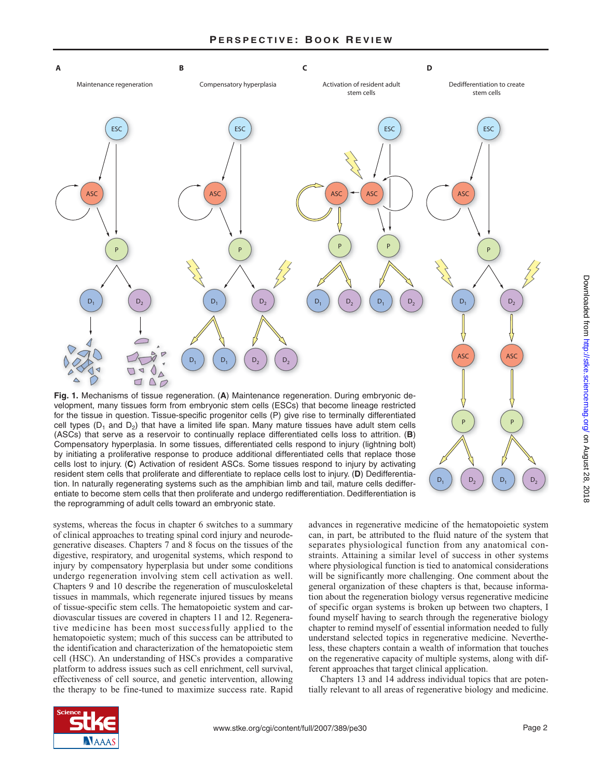

for the tissue in question. Tissue-specific progenitor cells (P) give rise to terminally differentiated cell types  $(D_1 \text{ and } D_2)$  that have a limited life span. Many mature tissues have adult stem cells (ASCs) that serve as a reservoir to continually replace differentiated cells loss to attrition. (**B**) Compensatory hyperplasia. In some tissues, differentiated cells respond to injury (lightning bolt) by initiating a proliferative response to produce additional differentiated cells that replace those cells lost to injury. (**C**) Activation of resident ASCs. Some tissues respond to injury by activating resident stem cells that proliferate and differentiate to replace cells lost to injury. (**D**) Dedifferentiation. In naturally regenerating systems such as the amphibian limb and tail, mature cells dedifferentiate to become stem cells that then proliferate and undergo redifferentiation. Dedifferentiation is the reprogramming of adult cells toward an embryonic state.

systems, whereas the focus in chapter 6 switches to a summary of clinical approaches to treating spinal cord injury and neurodegenerative diseases. Chapters 7 and 8 focus on the tissues of the digestive, respiratory, and urogenital systems, which respond to injury by compensatory hyperplasia but under some conditions undergo regeneration involving stem cell activation as well. Chapters 9 and 10 describe the regeneration of musculoskeletal tissues in mammals, which regenerate injured tissues by means of tissue-specific stem cells. The hematopoietic system and cardiovascular tissues are covered in chapters 11 and 12. Regenerative medicine has been most successfully applied to the hematopoietic system; much of this success can be attributed to the identification and characterization of the hematopoietic stem cell (HSC). An understanding of HSCs provides a comparative platform to address issues such as cell enrichment, cell survival, effectiveness of cell source, and genetic intervention, allowing the therapy to be fine-tuned to maximize success rate. Rapid

advances in regenerative medicine of the hematopoietic system can, in part, be attributed to the fluid nature of the system that separates physiological function from any anatomical constraints. Attaining a similar level of success in other systems where physiological function is tied to anatomical considerations will be significantly more challenging. One comment about the general organization of these chapters is that, because information about the regeneration biology versus regenerative medicine of specific organ systems is broken up between two chapters, I found myself having to search through the regenerative biology chapter to remind myself of essential information needed to fully understand selected topics in regenerative medicine. Nevertheless, these chapters contain a wealth of information that touches on the regenerative capacity of multiple systems, along with different approaches that target clinical application.

P

 $\mathsf{D}_1$  )  $\left(\begin{array}{c} \mathsf{D}_2 \end{array}\right)$   $\left(\begin{array}{c} \mathsf{D}_1 \end{array}\right)$   $\left(\begin{array}{c} \mathsf{D}_2 \end{array}\right)$ 

P

Chapters 13 and 14 address individual topics that are potentially relevant to all areas of regenerative biology and medicine.

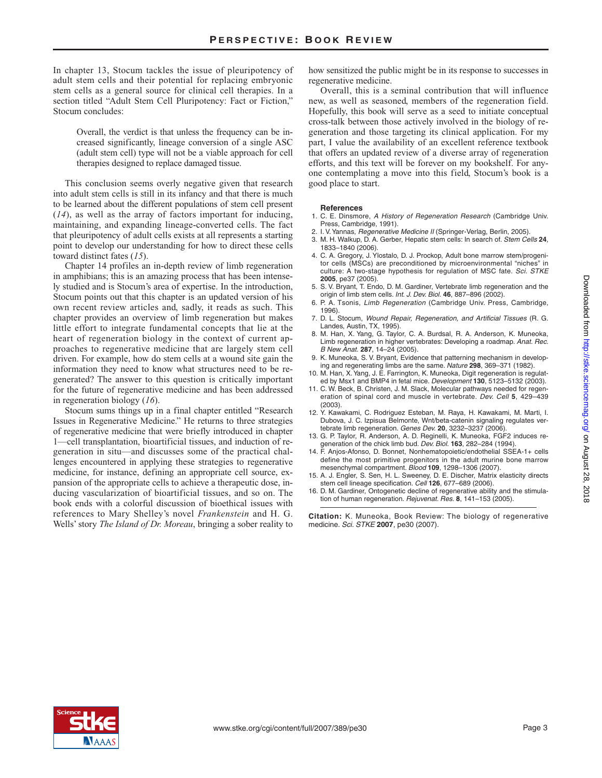In chapter 13, Stocum tackles the issue of pleuripotency of adult stem cells and their potential for replacing embryonic stem cells as a general source for clinical cell therapies. In a section titled "Adult Stem Cell Pluripotency: Fact or Fiction," Stocum concludes:

Overall, the verdict is that unless the frequency can be increased significantly, lineage conversion of a single ASC (adult stem cell) type will not be a viable approach for cell therapies designed to replace damaged tissue.

This conclusion seems overly negative given that research into adult stem cells is still in its infancy and that there is much to be learned about the different populations of stem cell present (*14*), as well as the array of factors important for inducing, maintaining, and expanding lineage-converted cells. The fact that pleuripotency of adult cells exists at all represents a starting point to develop our understanding for how to direct these cells toward distinct fates (*15*).

Chapter 14 profiles an in-depth review of limb regeneration in amphibians; this is an amazing process that has been intensely studied and is Stocum's area of expertise. In the introduction, Stocum points out that this chapter is an updated version of his own recent review articles and, sadly, it reads as such. This chapter provides an overview of limb regeneration but makes little effort to integrate fundamental concepts that lie at the heart of regeneration biology in the context of current approaches to regenerative medicine that are largely stem cell driven. For example, how do stem cells at a wound site gain the information they need to know what structures need to be regenerated? The answer to this question is critically important for the future of regenerative medicine and has been addressed in regeneration biology (*16*).

Stocum sums things up in a final chapter entitled "Research Issues in Regenerative Medicine." He returns to three strategies of regenerative medicine that were briefly introduced in chapter 1—cell transplantation, bioartificial tissues, and induction of regeneration in situ—and discusses some of the practical challenges encountered in applying these strategies to regenerative medicine, for instance, defining an appropriate cell source, expansion of the appropriate cells to achieve a therapeutic dose, inducing vascularization of bioartificial tissues, and so on. The book ends with a colorful discussion of bioethical issues with references to Mary Shelley's novel *Frankenstein* and H. G. Wells' story *The Island of Dr. Moreau*, bringing a sober reality to

how sensitized the public might be in its response to successes in regenerative medicine.

Overall, this is a seminal contribution that will influence new, as well as seasoned, members of the regeneration field. Hopefully, this book will serve as a seed to initiate conceptual cross-talk between those actively involved in the biology of regeneration and those targeting its clinical application. For my part, I value the availability of an excellent reference textbook that offers an updated review of a diverse array of regeneration efforts, and this text will be forever on my bookshelf. For anyone contemplating a move into this field, Stocum's book is a good place to start.

#### **References**

- 1. C. E. Dinsmore, A History of Regeneration Research (Cambridge Univ. Press, Cambridge, 1991).
- 2. I. V. Yannas, Regenerative Medicine II (Springer-Verlag, Berlin, 2005).
- 3. M. H. Walkup, D. A. Gerber, Hepatic stem cells: In search of. Stem Cells **24**, 1833–1840 (2006).
- 4. C. A. Gregory, J. Ylostalo, D. J. Prockop, Adult bone marrow stem/progenitor cells (MSCs) are preconditioned by microenvironmental "niches" in culture: A two-stage hypothesis for regulation of MSC fate. Sci. STKE **2005**, pe37 (2005).
- 5. S. V. Bryant, T. Endo, D. M. Gardiner, Vertebrate limb regeneration and the origin of limb stem cells. Int. J. Dev. Biol. **46**, 887–896 (2002).
- 6. P. A. Tsonis, Limb Regeneration (Cambridge Univ. Press, Cambridge, 1996). 7. D. L. Stocum, Wound Repair, Regeneration, and Artificial Tissues (R. G.
- Landes, Austin, TX, 1995).
- 8. M. Han, X. Yang, G. Taylor, C. A. Burdsal, R. A. Anderson, K. Muneoka, Limb regeneration in higher vertebrates: Developing a roadmap. Anat. Rec. B New Anat. **287**, 14–24 (2005).
- 9. K. Muneoka, S. V. Bryant, Evidence that patterning mechanism in developing and regenerating limbs are the same. Nature **298**, 369–371 (1982).
- 10. M. Han, X.Yang, J. E. Farrington, K. Muneoka, Digit regeneration is regulated by Msx1 and BMP4 in fetal mice. Development **130**, 5123–5132 (2003).
- 11. C. W. Beck, B. Christen, J. M. Slack, Molecular pathways needed for regeneration of spinal cord and muscle in vertebrate. Dev. Cell **5**, 429–439 (2003).
- 12. Y. Kawakami, C. Rodriguez Esteban, M. Raya, H. Kawakami, M. Marti, I. Dubova, J. C. Izpisua Belmonte, Wnt/beta-catenin signaling regulates vertebrate limb regeneration. Genes Dev. **20**, 3232–3237 (2006).
- 13. G. P. Taylor, R. Anderson, A. D. Reginelli, K. Muneoka, FGF2 induces regeneration of the chick limb bud. Dev. Biol. **163**, 282–284 (1994).
- 14. F. Anjos-Afonso, D. Bonnet, Nonhematopoietic/endothelial SSEA-1+ cells define the most primitive progenitors in the adult murine bone marrow mesenchymal compartment. Blood **109**, 1298–1306 (2007).
- 15. A. J. Engler, S. Sen, H. L. Sweeney, D. E. Discher, Matrix elasticity directs stem cell lineage specification. Cell **126**, 677–689 (2006).
- 16. D. M. Gardiner, Ontogenetic decline of regenerative ability and the stimulation of human regeneration. Rejuvenat. Res. **8**, 141–153 (2005).

**Citation:** K. Muneoka, Book Review: The biology of regenerative medicine. Sci. STKE **2007**, pe30 (2007).